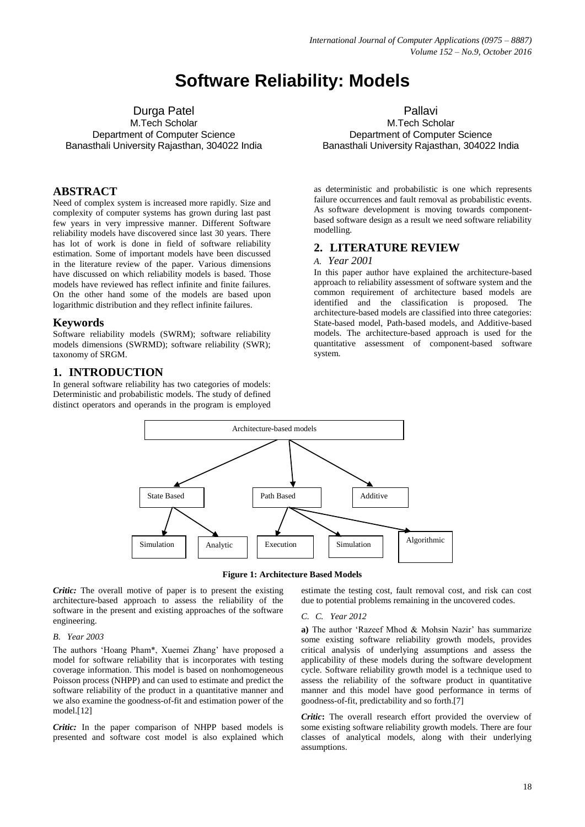# **Software Reliability: Models**

Durga Patel M.Tech Scholar Department of Computer Science Banasthali University Rajasthan, 304022 India

## **ABSTRACT**

Need of complex system is increased more rapidly. Size and complexity of computer systems has grown during last past few years in very impressive manner. Different Software reliability models have discovered since last 30 years. There has lot of work is done in field of software reliability estimation. Some of important models have been discussed in the literature review of the paper. Various dimensions have discussed on which reliability models is based. Those models have reviewed has reflect infinite and finite failures. On the other hand some of the models are based upon logarithmic distribution and they reflect infinite failures.

## **Keywords**

Software reliability models (SWRM); software reliability models dimensions (SWRMD); software reliability (SWR); taxonomy of SRGM.

# **1. INTRODUCTION**

In general software reliability has two categories of models: Deterministic and probabilistic models. The study of defined distinct operators and operands in the program is employed

Pallavi M.Tech Scholar Department of Computer Science Banasthali University Rajasthan, 304022 India

as deterministic and probabilistic is one which represents failure occurrences and fault removal as probabilistic events. As software development is moving towards componentbased software design as a result we need software reliability modelling.

# **2. LITERATURE REVIEW**

#### *A. Year 2001*

In this paper author have explained the architecture-based approach to reliability assessment of software system and the common requirement of architecture based models are identified and the classification is proposed. The architecture-based models are classified into three categories: State-based model, Path-based models, and Additive-based models. The architecture-based approach is used for the quantitative assessment of component-based software system.



**Figure 1: Architecture Based Models**

*Critic:* The overall motive of paper is to present the existing architecture-based approach to assess the reliability of the software in the present and existing approaches of the software engineering.

#### *B. Year 2003*

The authors 'Hoang Pham\*, Xuemei Zhang' have proposed a model for software reliability that is incorporates with testing coverage information. This model is based on nonhomogeneous Poisson process (NHPP) and can used to estimate and predict the software reliability of the product in a quantitative manner and we also examine the goodness-of-fit and estimation power of the model.[12]

*Critic:* In the paper comparison of NHPP based models is presented and software cost model is also explained which estimate the testing cost, fault removal cost, and risk can cost due to potential problems remaining in the uncovered codes.

#### *C. C. Year 2012*

**a)** The author 'Razeef Mhod & Mohsin Nazir' has summarize some existing software reliability growth models, provides critical analysis of underlying assumptions and assess the applicability of these models during the software development cycle. Software reliability growth model is a technique used to assess the reliability of the software product in quantitative manner and this model have good performance in terms of goodness-of-fit, predictability and so forth.[7]

*Critic***:** The overall research effort provided the overview of some existing software reliability growth models. There are four classes of analytical models, along with their underlying assumptions.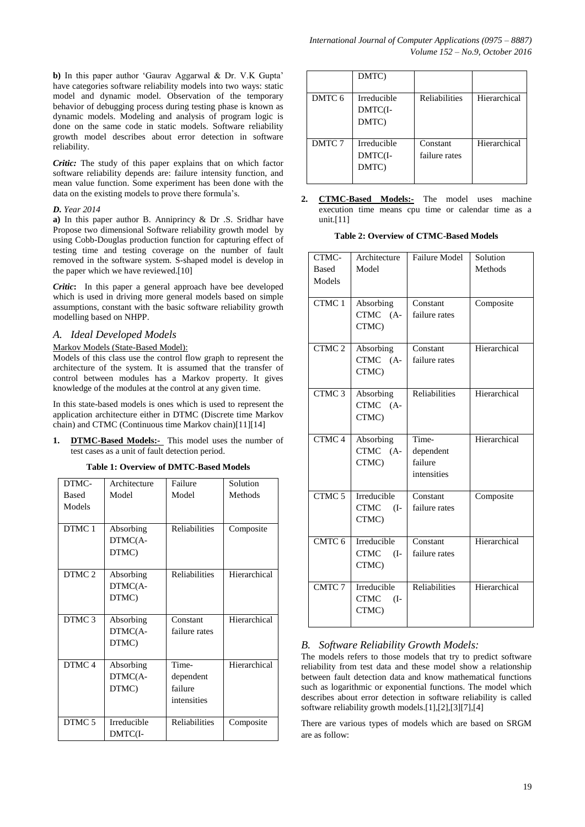*Critic:* The study of this paper explains that on which factor software reliability depends are: failure intensity function, and mean value function. Some experiment has been done with the data on the existing models to prove there formula's*.*

#### *D. Year 2014*

**a)** In this paper author B. Anniprincy & Dr .S. Sridhar have Propose two dimensional Software reliability growth model by using Cobb-Douglas production function for capturing effect of testing time and testing coverage on the number of fault removed in the software system. S-shaped model is develop in the paper which we have reviewed.[10]

*Critic***:** In this paper a general approach have bee developed which is used in driving more general models based on simple assumptions, constant with the basic software reliability growth modelling based on NHPP.

#### *A. Ideal Developed Models*

#### Markov Models (State-Based Model):

Models of this class use the control flow graph to represent the architecture of the system. It is assumed that the transfer of control between modules has a Markov property. It gives knowledge of the modules at the control at any given time.

In this state-based models is ones which is used to represent the application architecture either in DTMC (Discrete time Markov chain) and CTMC (Continuous time Markov chain)[11][14]

1. **DTMC-Based Models:** This model uses the number of test cases as a unit of fault detection period.

**Table 1: Overview of DMTC-Based Models**

| DTMC-             | Architecture | Failure       | Solution     |
|-------------------|--------------|---------------|--------------|
| <b>Based</b>      | Model        | Model         | Methods      |
| Models            |              |               |              |
|                   |              |               |              |
| DTMC <sub>1</sub> | Absorbing    | Reliabilities | Composite    |
|                   | DTMC(A-      |               |              |
|                   | DTMC)        |               |              |
|                   |              |               |              |
| DTMC <sub>2</sub> | Absorbing    | Reliabilities | Hierarchical |
|                   | DTMC(A-      |               |              |
|                   | DTMC)        |               |              |
|                   |              |               |              |
| DTMC <sub>3</sub> | Absorbing    | Constant      | Hierarchical |
|                   | DTMC(A-      | failure rates |              |
|                   | DTMC)        |               |              |
|                   |              |               |              |
| DTMC <sub>4</sub> | Absorbing    | Time-         | Hierarchical |
|                   | DTMC(A-      | dependent     |              |
|                   | DTMC)        | failure       |              |
|                   |              | intensities   |              |
|                   |              |               |              |
| DTMC <sub>5</sub> | Irreducible  | Reliabilities | Composite    |
|                   | DMTC(I-      |               |              |

|        | DMTC)                           |                           |              |
|--------|---------------------------------|---------------------------|--------------|
| DMTC 6 | Irreducible<br>DMTC(I-<br>DMTC) | <b>Reliabilities</b>      | Hierarchical |
| DMTC 7 | Irreducible<br>DMTC(I-<br>DMTC) | Constant<br>failure rates | Hierarchical |

2. **CTMC-Based Models:-** The model uses machine execution time means cpu time or calendar time as a unit.[11]

**Table 2: Overview of CTMC-Based Models**

| CTMC-<br><b>Based</b><br>Models | Architecture<br>Model                        | <b>Failure Model</b>                         | Solution<br>Methods |
|---------------------------------|----------------------------------------------|----------------------------------------------|---------------------|
| CTMC 1                          | Absorbing<br>CTMC (A-<br>CTMC)               | Constant<br>failure rates                    | Composite           |
| CTMC <sub>2</sub>               | Absorbing<br>CTMC (A-<br>CTMC)               | Constant<br>failure rates                    | Hierarchical        |
| CTMC <sub>3</sub>               | Absorbing<br>CTMC (A-<br>CTMC)               | Reliabilities                                | Hierarchical        |
| CTMC <sub>4</sub>               | Absorbing<br>CTMC (A-<br>CTMC)               | Time-<br>dependent<br>failure<br>intensities | Hierarchical        |
| CTMC <sub>5</sub>               | <b>Irreducible</b><br>CTMC<br>$(I-$<br>CTMC) | Constant<br>failure rates                    | Composite           |
| CMTC 6                          | Irreducible<br>CTMC<br>$(I-$<br>CTMC)        | Constant<br>failure rates                    | Hierarchical        |
| CMTC 7                          | Irreducible<br>CTMC<br>(I-<br>CTMC)          | <b>Reliabilities</b>                         | Hierarchical        |

## *B. Software Reliability Growth Models:*

The models refers to those models that try to predict software reliability from test data and these model show a relationship between fault detection data and know mathematical functions such as logarithmic or exponential functions. The model which describes about error detection in software reliability is called software reliability growth models.[1],[2],[3][7],[4]

There are various types of models which are based on SRGM are as follow: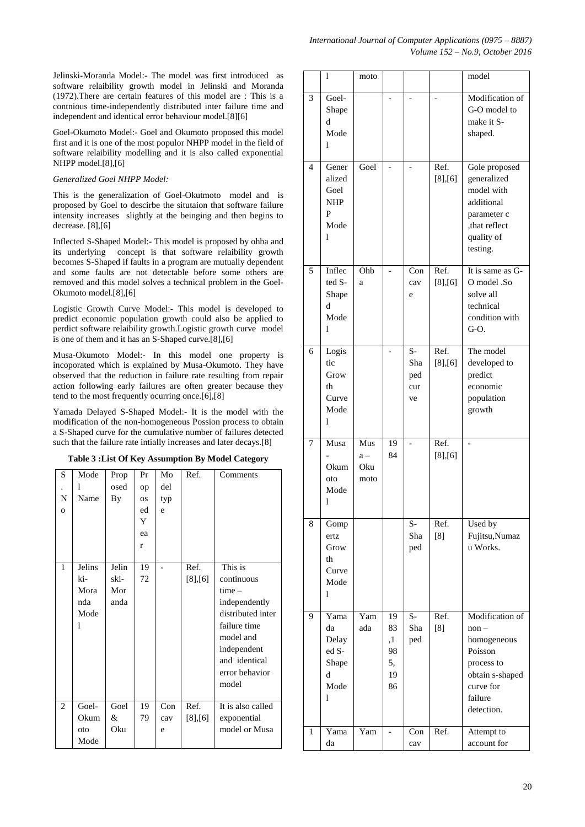Jelinski-Moranda Model:- The model was first introduced as software relaibility growth model in Jelinski and Moranda (1972).There are certain features of this model are : This is a contnious time-independently distributed inter failure time and independent and identical error behaviour model.[8][6]

Goel-Okumoto Model:- Goel and Okumoto proposed this model first and it is one of the most populor NHPP model in the field of software relaibility modelling and it is also called exponential NHPP model.[8],[6]

#### *Generalized Goel NHPP Model:*

This is the generalization of Goel-Okutmoto model and is proposed by Goel to descirbe the situtaion that software failure intensity increases slightly at the beinging and then begins to decrease. [8],[6]

Inflected S-Shaped Model:- This model is proposed by ohba and its underlying concept is that software relaibility growth becomes S-Shaped if faults in a program are mutually dependent and some faults are not detectable before some others are removed and this model solves a technical problem in the Goel-Okumoto model.[8],[6]

Logistic Growth Curve Model:- This model is developed to predict economic population growth could also be applied to perdict software relaibility growth.Logistic growth curve model is one of them and it has an S-Shaped curve.[8],[6]

Musa-Okumoto Model:- In this model one property is incoporated which is explained by Musa-Okumoto. They have observed that the reduction in failure rate resulting from repair action following early failures are often greater because they tend to the most frequently ocurring once.[6],[8]

Yamada Delayed S-Shaped Model:- It is the model with the modification of the non-homogeneous Possion process to obtain a S-Shaped curve for the cumulative number of failures detected such that the failure rate intially increases and later decays.[8]

|  | Table 3 : List Of Key Assumption By Model Category |  |
|--|----------------------------------------------------|--|
|  |                                                    |  |

| S              | Mode   | Prop  | Pr        | Mo  | Ref.       | Comments          |
|----------------|--------|-------|-----------|-----|------------|-------------------|
|                | 1      | osed  | op        | del |            |                   |
| N              | Name   | Вy    | <b>OS</b> | typ |            |                   |
| $\Omega$       |        |       | ed        | e   |            |                   |
|                |        |       | Y         |     |            |                   |
|                |        |       | ea        |     |            |                   |
|                |        |       | r         |     |            |                   |
|                |        |       |           |     |            |                   |
| 1              | Jelins | Jelin | 19        |     | Ref.       | This is           |
|                | ki-    | ski-  | 72        |     | [8],[6]    | continuous        |
|                | Mora   | Mor   |           |     |            | $time -$          |
|                | nda    | anda  |           |     |            | independently     |
|                | Mode   |       |           |     |            | distributed inter |
|                | 1      |       |           |     |            | failure time      |
|                |        |       |           |     |            | model and         |
|                |        |       |           |     |            | independent       |
|                |        |       |           |     |            | and identical     |
|                |        |       |           |     |            | error behavior    |
|                |        |       |           |     |            | model             |
|                |        |       |           |     |            |                   |
| $\overline{2}$ | Goel-  | Goel  | 19        | Con | Ref.       | It is also called |
|                | Okum   | &     | 79        | cav | $[8]$ ,[6] | exponential       |
|                | oto    | Oku   |           | e   |            | model or Musa     |
|                | Mode   |       |           |     |            |                   |
|                |        |       |           |     |            |                   |

|                | l                                                       | moto                        |                                        |                                 |                                 | model                                                                                                                      |
|----------------|---------------------------------------------------------|-----------------------------|----------------------------------------|---------------------------------|---------------------------------|----------------------------------------------------------------------------------------------------------------------------|
| 3              | Goel-<br>Shape<br>d<br>Mode<br>1                        |                             |                                        |                                 |                                 | Modification of<br>G-O model to<br>make it S-<br>shaped.                                                                   |
| $\overline{4}$ | Gener<br>alized<br>Goel<br>NHP<br>P<br>Mode<br>1        | Goel                        |                                        |                                 | Ref.<br>[8],[6]                 | Gole proposed<br>generalized<br>model with<br>additional<br>parameter c<br>,that reflect<br>quality of<br>testing.         |
| 5              | Inflec<br>ted S-<br>Shape<br>d<br>Mode<br>1             | Ohb<br>a                    |                                        | Con<br>cav<br>e                 | Ref.<br>$[8]$ , $[6]$           | It is same as G-<br>O model .So<br>solve all<br>technical<br>condition with<br>$G-O.$                                      |
| 6              | Logis<br>tic<br>Grow<br>th<br>Curve<br>Mode<br>1        |                             |                                        | $S-$<br>Sha<br>ped<br>cur<br>ve | Ref.<br>[8],[6]                 | The model<br>developed to<br>predict<br>economic<br>population<br>growth                                                   |
| 7              | Musa<br>Okum<br>oto<br>Mode<br>1                        | Mus<br>$a -$<br>Oku<br>moto | 19<br>84                               |                                 | Ref.<br>[8],[6]                 |                                                                                                                            |
| 8              | Gomp<br>ertz<br>Grow<br>th<br>Curve<br>Mode<br>1        |                             |                                        | $\overline{S}$ -<br>Sha<br>ped  | $\overline{\text{Ref.}}$<br>[8] | Used by<br>Fujitsu, Numaz<br>u Works.                                                                                      |
| 9              | Yama<br>da<br>Delay<br>ed S-<br>Shape<br>d<br>Mode<br>1 | Yam<br>ada                  | 19<br>83<br>,1<br>98<br>5,<br>19<br>86 | $S-$<br>Sha<br>ped              | Ref.<br>[8]                     | Modification of<br>$non-$<br>homogeneous<br>Poisson<br>process to<br>obtain s-shaped<br>curve for<br>failure<br>detection. |
| 1              | Yama<br>da                                              | Yam                         | $\overline{\phantom{a}}$               | Con<br>cav                      | Ref.                            | Attempt to<br>account for                                                                                                  |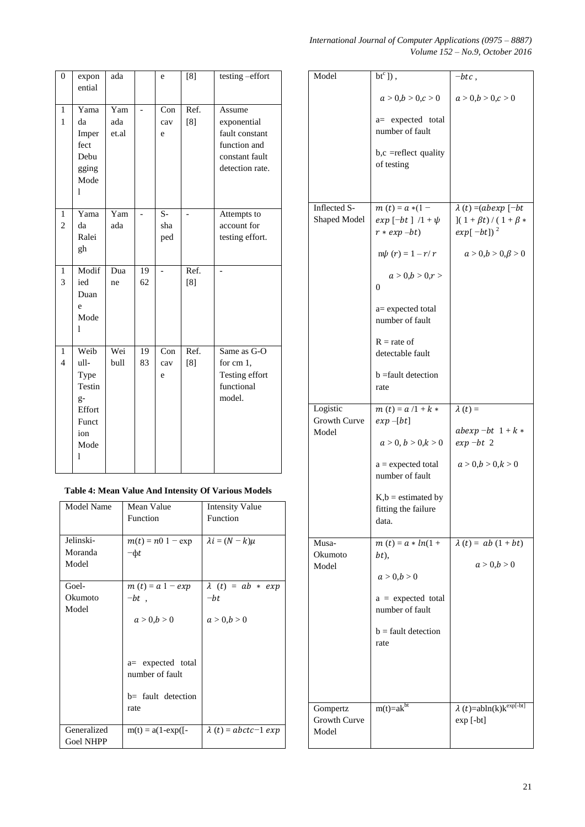*International Journal of Computer Applications (0975 – 8887) Volume 152 – No.9, October 2016*

| $\overline{0}$                 | expon<br>ential                                                               | ada                 |                | e                              | [8]                      | testing-effort                                                                               |
|--------------------------------|-------------------------------------------------------------------------------|---------------------|----------------|--------------------------------|--------------------------|----------------------------------------------------------------------------------------------|
| $\mathbf{1}$<br>$\mathbf{1}$   | Yama<br>da<br>Imper<br>fect<br>Debu<br>gging<br>Mode<br>1                     | Yam<br>ada<br>et.al |                | Con<br>cav<br>e                | Ref.<br>[8]              | Assume<br>exponential<br>fault constant<br>function and<br>constant fault<br>detection rate. |
| $\mathbf{1}$<br>$\overline{2}$ | Yama<br>da<br>Ralei<br>gh                                                     | Yam<br>ada          | $\overline{a}$ | $\overline{S}$ -<br>sha<br>ped | $\overline{\phantom{0}}$ | Attempts to<br>account for<br>testing effort.                                                |
| 1<br>3                         | Modif<br>ied<br>Duan<br>e<br>Mode<br>1                                        | Dua<br>ne           | 19<br>62       | $\overline{a}$                 | Ref.<br>[8]              |                                                                                              |
| $\mathbf{1}$<br>$\overline{4}$ | Weib<br>ull-<br>Type<br>Testin<br>$g-$<br>Effort<br>Funct<br>ion<br>Mode<br>1 | Wei<br>bull         | 19<br>83       | Con<br>cav<br>e                | Ref.<br>[8]              | Same as G-O<br>for cm 1,<br>Testing effort<br>functional<br>model.                           |

**Table 4: Mean Value And Intensity Of Various Models**

| Model Name       | Mean Value              | <b>Intensity Value</b>     |
|------------------|-------------------------|----------------------------|
|                  | Function                | Function                   |
|                  |                         |                            |
| Jelinski-        | $m(t) = n0 \, 1 - \exp$ | $\lambda i = (N-k)\mu$     |
| Moranda          | $-\Phi t$               |                            |
| Model            |                         |                            |
|                  |                         |                            |
| Goel-            | $m(t) = a 1 - exp$      | $\lambda$ (t) = ab * exp   |
| Okumoto          | $-bt$ .                 | $-bt$                      |
| Model            |                         |                            |
|                  | a > 0, b > 0            | a > 0, b > 0               |
|                  |                         |                            |
|                  |                         |                            |
|                  |                         |                            |
|                  | a= expected total       |                            |
|                  | number of fault         |                            |
|                  | b= fault detection      |                            |
|                  | rate                    |                            |
|                  |                         |                            |
| Generalized      | $m(t) = a(1-exp(-$      | $\lambda(t) = abctc-1 exp$ |
| <b>Goel NHPP</b> |                         |                            |
|                  |                         |                            |

| Model                             | $bt^c$ ]),                                                 | $-btc$ ,                                                                        |
|-----------------------------------|------------------------------------------------------------|---------------------------------------------------------------------------------|
|                                   | a > 0, b > 0, c > 0                                        | a > 0, b > 0, c > 0                                                             |
|                                   | a= expected total<br>number of fault                       |                                                                                 |
|                                   | $b,c$ =reflect quality<br>of testing                       |                                                                                 |
|                                   |                                                            |                                                                                 |
| Inflected S-<br>Shaped Model      | $m(t) = a * (1 -$<br>$exp[-bt]/1 + \psi$<br>$r * exp -bt)$ | $\lambda(t) = (abexp[-bt])$<br>$](1 + \beta t) / (1 + \beta *$<br>$exp[-bt])^2$ |
|                                   | $n\psi(r) = 1 - r/r$                                       | $a > 0, b > 0, \beta > 0$                                                       |
|                                   | a > 0, b > 0, r ><br>0                                     |                                                                                 |
|                                   | a= expected total<br>number of fault                       |                                                                                 |
|                                   | $R =$ rate of<br>detectable fault                          |                                                                                 |
|                                   | b = fault detection<br>rate                                |                                                                                 |
| Logistic<br>Growth Curve<br>Model | $m(t) = a/l + k *$<br>$exp-[bt]$                           | $\lambda(t) =$<br>abexp -bt $1 + k *$                                           |
|                                   |                                                            |                                                                                 |
|                                   | a > 0, b > 0, k > 0                                        | $exp -bt$ 2                                                                     |
|                                   | $a = expected total$<br>number of fault                    | a > 0, b > 0, k > 0                                                             |
|                                   | $K,b$ = estimated by<br>fitting the failure<br>data.       |                                                                                 |
|                                   |                                                            |                                                                                 |
| Musa-<br>Okumoto                  | $m(t) = a * ln(1 +$<br>bt),                                | $\lambda(t) = ab(1 + bt)$                                                       |
| Model                             | a > 0, b > 0                                               | a > 0, b > 0                                                                    |
|                                   | $a = expected total$<br>number of fault                    |                                                                                 |
|                                   | $b =$ fault detection<br>rate                              |                                                                                 |
|                                   |                                                            |                                                                                 |
| Gompertz                          | $m(t)=a\overline{k}^{bt}$                                  | $\lambda(t) = ab \ln(k) k^{\exp[-bt]}$                                          |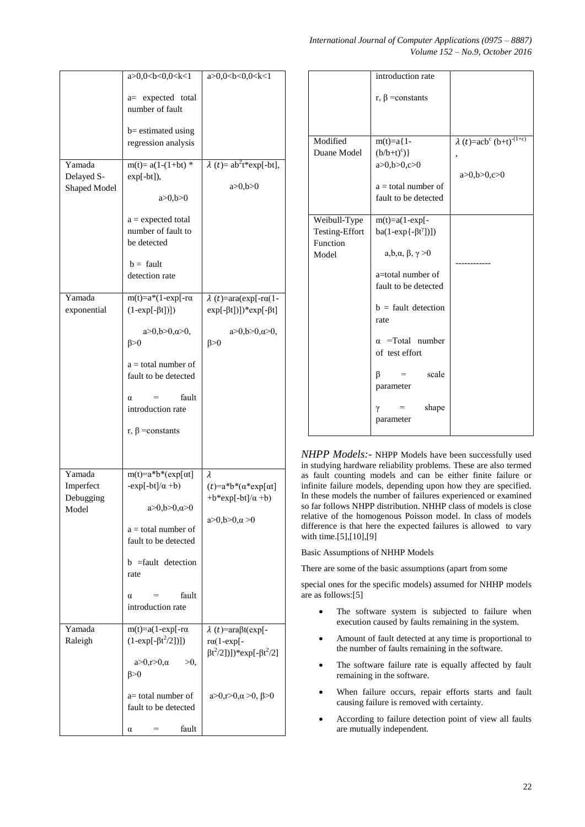|                                      | a>0,0 <b<0,0<k<1< th=""><th>a&gt;0,0<b<0,0<k<1< th=""></b<0,0<k<1<></th></b<0,0<k<1<>  | a>0,0 <b<0,0<k<1< th=""></b<0,0<k<1<>                                                          |
|--------------------------------------|----------------------------------------------------------------------------------------|------------------------------------------------------------------------------------------------|
|                                      | expected total<br>$a=$<br>number of fault<br>b= estimated using<br>regression analysis |                                                                                                |
| Yamada<br>Delayed S-<br>Shaped Model | $m(t)=a(1-(1+bt))$ *<br>exp[-bt]),<br>a > 0, b > 0                                     | $\lambda(t) = ab^2t^*exp[-bt],$<br>a > 0, b > 0                                                |
|                                      | $a = expected total$<br>number of fault to<br>be detected                              |                                                                                                |
|                                      | $b =$ fault<br>detection rate                                                          |                                                                                                |
| Yamada<br>exponential                | $m(t)=a*(1-exp[-ra$<br>$(1-exp[-\beta t]))$                                            | $\lambda(t)$ =ara(exp[-ra(1-<br>$exp[-\beta t]]$ <sup>*</sup> $exp[-\beta t]$                  |
|                                      | $a>0, b>0, \alpha>0,$<br>$\beta > 0$                                                   | $a>0, b>0, \alpha>0,$<br>$\beta > 0$                                                           |
|                                      | $a = total number of$<br>fault to be detected                                          |                                                                                                |
|                                      | fault<br>α<br>introduction rate                                                        |                                                                                                |
|                                      | $r, \beta$ = constants                                                                 |                                                                                                |
| Yamada<br>Imperfect<br>Debugging     | $m(t)=a*b*(exp[\alpha t]$<br>$-exp[-bt]/\alpha + b)$<br>$a>0, b>0, \alpha>0$           | λ<br>$(t)=a^*b^*(\alpha^*exp[\alpha t])$<br>+b*exp[-bt]/ $\alpha$ +b)                          |
| Model                                | $a = total number of$<br>fault to be detected                                          | $a>0, b>0, \alpha>0$                                                                           |
|                                      | $b =$ fault detection<br>rate                                                          |                                                                                                |
|                                      | fault<br>$\alpha$<br>introduction rate                                                 |                                                                                                |
| Yamada<br>Raleigh                    | $m(t)=a(1-exp[-ra$<br>$(1-exp[-\beta t^2/2])$ ]<br>$a>0, r>0, \alpha$<br>$>0$ .        | $\lambda(t)$ =ara $\beta t$ (exp[-<br>$ra(1-exp[-$<br>$\beta t^2/2$ ])])*exp[- $\beta t^2/2$ ] |
|                                      | $\beta > 0$                                                                            |                                                                                                |
|                                      | a= total number of<br>fault to be detected                                             | $a>0, r>0, \alpha >0, \beta >0$                                                                |
|                                      | fault<br>α                                                                             |                                                                                                |

|                | introduction rate                   |                                                |
|----------------|-------------------------------------|------------------------------------------------|
|                | r, $\beta$ = constants              |                                                |
|                |                                     |                                                |
| Modified       | $m(t)=a\{1-\}$                      | $\lambda(t) = acb^c \overline{(b+t)^{-(1+c)}}$ |
| Duane Model    | $(b/b+t)^c)$                        | ,                                              |
|                | a>0, b>0, c>0                       |                                                |
|                |                                     | a>0, b>0, c>0                                  |
|                | $a =$ total number of               |                                                |
|                | fault to be detected                |                                                |
| Weibull-Type   | $m(t)=a(1-exp[-$                    |                                                |
| Testing-Effort | $ba(1-exp{-} \beta t^{\gamma}])$ ]) |                                                |
| Function       |                                     |                                                |
| Model          | $a,b,\alpha,\beta,\gamma > 0$       |                                                |
|                | a=total number of                   |                                                |
|                | fault to be detected                |                                                |
|                |                                     |                                                |
|                | $b =$ fault detection               |                                                |
|                | rate                                |                                                |
|                | $\alpha$ =Total number              |                                                |
|                | of test effort                      |                                                |
|                |                                     |                                                |
|                | scale<br>β<br>$=$                   |                                                |
|                | parameter                           |                                                |
|                |                                     |                                                |
|                | shape<br>$=$<br>γ<br>parameter      |                                                |
|                |                                     |                                                |

*NHPP Models:-* NHPP Models have been successfully used in studying hardware reliability problems. These are also termed as fault counting models and can be either finite failure or infinite failure models, depending upon how they are specified. In these models the number of failures experienced or examined so far follows NHPP distribution. NHHP class of models is close relative of the homogenous Poisson model. In class of models difference is that here the expected failures is allowed to vary with time.[5],[10],[9]

Basic Assumptions of NHHP Models

There are some of the basic assumptions (apart from some

special ones for the specific models) assumed for NHHP models are as follows:[5]

- The software system is subjected to failure when execution caused by faults remaining in the system.
- Amount of fault detected at any time is proportional to the number of faults remaining in the software.
- The software failure rate is equally affected by fault remaining in the software.
- When failure occurs, repair efforts starts and fault causing failure is removed with certainty.
- According to failure detection point of view all faults are mutually independent.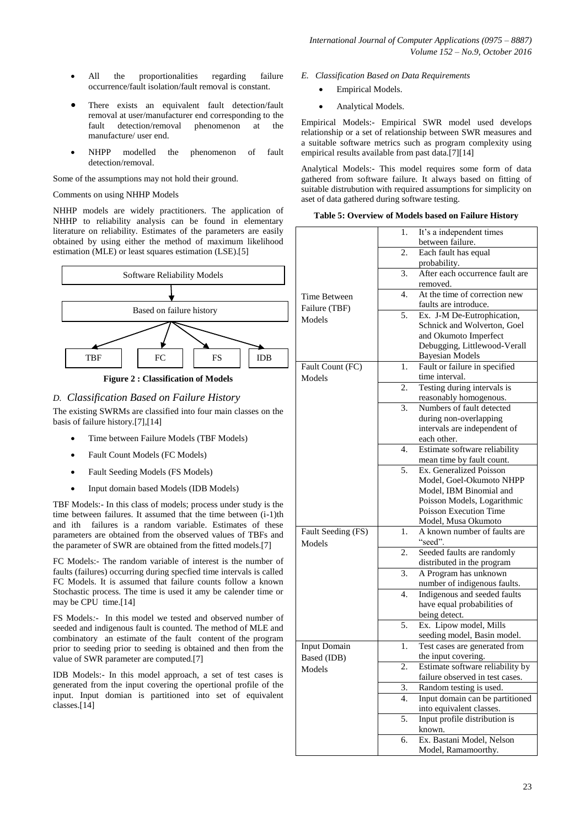- All the proportionalities regarding failure occurrence/fault isolation/fault removal is constant.
- There exists an equivalent fault detection/fault removal at user/manufacturer end corresponding to the fault detection/removal phenomenon at the manufacture/ user end.
- NHPP modelled the phenomenon of fault detection/removal.

Some of the assumptions may not hold their ground.

#### Comments on using NHHP Models

NHHP models are widely practitioners. The application of NHHP to reliability analysis can be found in elementary literature on reliability. Estimates of the parameters are easily obtained by using either the method of maximum likelihood estimation (MLE) or least squares estimation (LSE).[5]



**Figure 2 : Classification of Models**

### *D. Classification Based on Failure History*

The existing SWRMs are classified into four main classes on the basis of failure history.[7],[14]

- Time between Failure Models (TBF Models)
- Fault Count Models (FC Models)
- Fault Seeding Models (FS Models)
- Input domain based Models (IDB Models)

TBF Models:- In this class of models; process under study is the time between failures. It assumed that the time between (i-1)th and ith failures is a random variable. Estimates of these parameters are obtained from the observed values of TBFs and the parameter of SWR are obtained from the fitted models.[7]

FC Models:- The random variable of interest is the number of faults (failures) occurring during specfied time intervals is called FC Models. It is assumed that failure counts follow a known Stochastic process. The time is used it amy be calender time or may be CPU time.[14]

FS Models*:-* In this model we tested and observed number of seeded and indigenous fault is counted. The method of MLE and combinatory an estimate of the fault content of the program prior to seeding prior to seeding is obtained and then from the value of SWR parameter are computed.[7]

IDB Models:- In this model approach, a set of test cases is generated from the input covering the opertional profile of the input. Input domian is partitioned into set of equivalent classes.[14]

- *E. Classification Based on Data Requirements*
	- Empirical Models.
	- Analytical Models.

Empirical Models:- Empirical SWR model used develops relationship or a set of relationship between SWR measures and a suitable software metrics such as program complexity using empirical results available from past data.[7][14]

Analytical Models:- This model requires some form of data gathered from software failure. It always based on fitting of suitable distrubution with required assumptions for simplicity on aset of data gathered during software testing.

|  | Table 5: Overview of Models based on Failure History |
|--|------------------------------------------------------|
|--|------------------------------------------------------|

|                     | 1.               | It's a independent times         |
|---------------------|------------------|----------------------------------|
|                     |                  | between failure.                 |
|                     | $\overline{2}$ . | Each fault has equal             |
|                     |                  | probability.                     |
|                     | 3.               | After each occurrence fault are  |
|                     |                  | removed.                         |
|                     | 4.               | At the time of correction new    |
| Time Between        |                  | faults are introduce.            |
| Failure (TBF)       | 5.               | Ex. J-M De-Eutrophication,       |
| Models              |                  | Schnick and Wolverton, Goel      |
|                     |                  |                                  |
|                     |                  | and Okumoto Imperfect            |
|                     |                  | Debugging, Littlewood-Verall     |
|                     |                  | <b>Bayesian Models</b>           |
| Fault Count (FC)    | 1.               | Fault or failure in specified    |
| Models              |                  | time interval.                   |
|                     | 2.               | Testing during intervals is      |
|                     |                  | reasonably homogenous.           |
|                     | 3.               | Numbers of fault detected        |
|                     |                  | during non-overlapping           |
|                     |                  | intervals are independent of     |
|                     |                  | each other.                      |
|                     | 4.               | Estimate software reliability    |
|                     |                  | mean time by fault count.        |
|                     | 5.               | Ex. Generalized Poisson          |
|                     |                  | Model, Goel-Okumoto NHPP         |
|                     |                  | Model, IBM Binomial and          |
|                     |                  | Poisson Models, Logarithmic      |
|                     |                  | Poisson Execution Time           |
|                     |                  | Model, Musa Okumoto              |
| Fault Seeding (FS)  | 1.               | A known number of faults are     |
| Models              |                  | "seed".                          |
|                     | 2.               | Seeded faults are randomly       |
|                     |                  | distributed in the program       |
|                     | 3.               | A Program has unknown            |
|                     |                  | number of indigenous faults.     |
|                     | $\overline{4}$ . | Indigenous and seeded faults     |
|                     |                  | have equal probabilities of      |
|                     |                  | being detect.                    |
|                     | 5.               | Ex. Lipow model, Mills           |
|                     |                  | seeding model, Basin model.      |
| <b>Input Domain</b> | 1.               | Test cases are generated from    |
| Based (IDB)         |                  | the input covering.              |
| Models              | z.               | Estimate software reliability by |
|                     |                  | failure observed in test cases.  |
|                     | 3.               | Random testing is used.          |
|                     | 4.               | Input domain can be partitioned  |
|                     |                  | into equivalent classes.         |
|                     | 5.               | Input profile distribution is    |
|                     |                  | known.                           |
|                     | 6.               | Ex. Bastani Model, Nelson        |
|                     |                  | Model, Ramamoorthy.              |